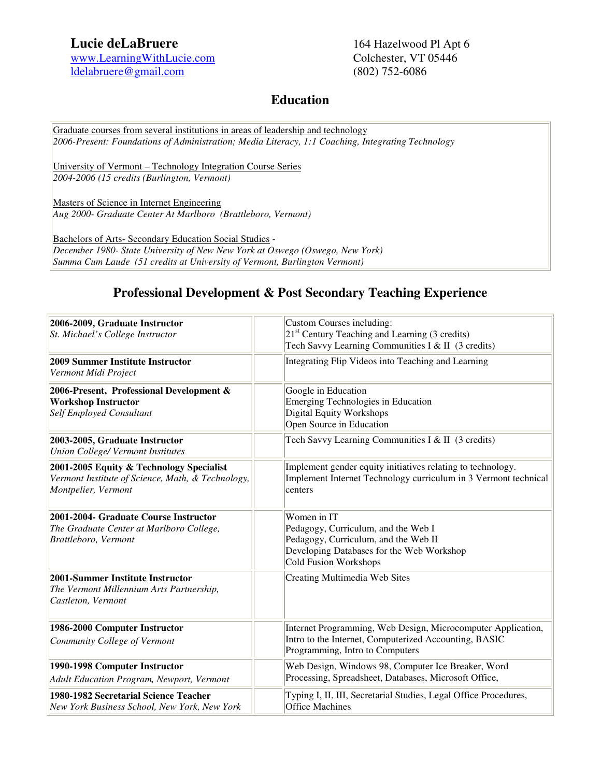# **Lucie deLaBruere** 164 Hazelwood Pl Apt 6

www.LearningWithLucie.com Colchester, VT 05446 ldelabruere@gmail.com (802) 752-6086

### **Education**

Graduate courses from several institutions in areas of leadership and technology *2006-Present: Foundations of Administration; Media Literacy, 1:1 Coaching, Integrating Technology* 

University of Vermont – Technology Integration Course Series *2004-2006 (15 credits (Burlington, Vermont)*

Masters of Science in Internet Engineering *Aug 2000- Graduate Center At Marlboro (Brattleboro, Vermont)*

Bachelors of Arts- Secondary Education Social Studies - *December 1980- State University of New New York at Oswego (Oswego, New York) Summa Cum Laude (51 credits at University of Vermont, Burlington Vermont)*

## **Professional Development & Post Secondary Teaching Experience**

| 2006-2009, Graduate Instructor<br>St. Michael's College Instructor                                                   | Custom Courses including:<br>$21st$ Century Teaching and Learning (3 credits)<br>Tech Savvy Learning Communities I & II (3 credits)                              |
|----------------------------------------------------------------------------------------------------------------------|------------------------------------------------------------------------------------------------------------------------------------------------------------------|
| 2009 Summer Institute Instructor<br>Vermont Midi Project                                                             | Integrating Flip Videos into Teaching and Learning                                                                                                               |
| 2006-Present, Professional Development &<br><b>Workshop Instructor</b><br><b>Self Employed Consultant</b>            | Google in Education<br>Emerging Technologies in Education<br>Digital Equity Workshops<br>Open Source in Education                                                |
| 2003-2005, Graduate Instructor<br><b>Union College/ Vermont Institutes</b>                                           | Tech Savvy Learning Communities I & II (3 credits)                                                                                                               |
| 2001-2005 Equity & Technology Specialist<br>Vermont Institute of Science, Math, & Technology,<br>Montpelier, Vermont | Implement gender equity initiatives relating to technology.<br>Implement Internet Technology curriculum in 3 Vermont technical<br>centers                        |
| 2001-2004- Graduate Course Instructor<br>The Graduate Center at Marlboro College,<br><b>Brattleboro</b> , Vermont    | Women in IT<br>Pedagogy, Curriculum, and the Web I<br>Pedagogy, Curriculum, and the Web II<br>Developing Databases for the Web Workshop<br>Cold Fusion Workshops |
| 2001-Summer Institute Instructor<br>The Vermont Millennium Arts Partnership,<br>Castleton, Vermont                   | Creating Multimedia Web Sites                                                                                                                                    |
| 1986-2000 Computer Instructor<br>Community College of Vermont                                                        | Internet Programming, Web Design, Microcomputer Application,<br>Intro to the Internet, Computerized Accounting, BASIC<br>Programming, Intro to Computers         |
| 1990-1998 Computer Instructor<br>Adult Education Program, Newport, Vermont                                           | Web Design, Windows 98, Computer Ice Breaker, Word<br>Processing, Spreadsheet, Databases, Microsoft Office,                                                      |
| 1980-1982 Secretarial Science Teacher<br>New York Business School, New York, New York                                | Typing I, II, III, Secretarial Studies, Legal Office Procedures,<br><b>Office Machines</b>                                                                       |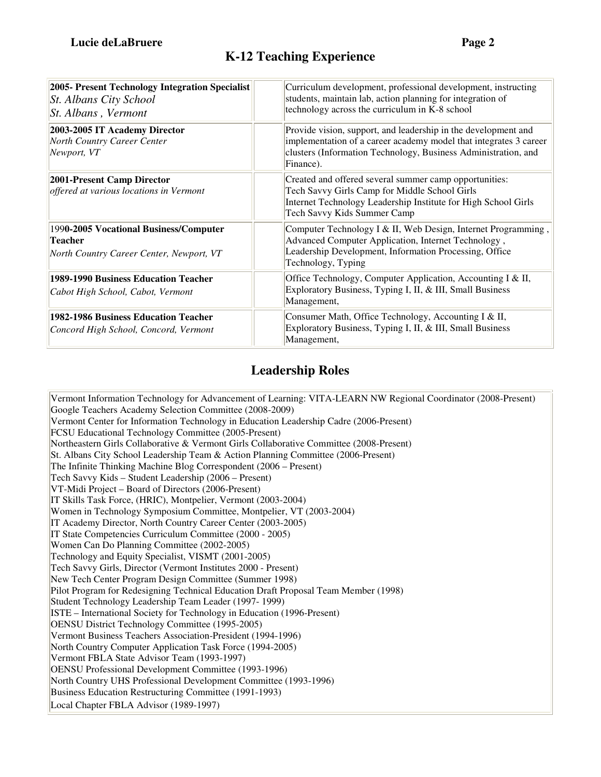| 2005- Present Technology Integration Specialist<br><b>St. Albans City School</b><br>St. Albans, Vermont | Curriculum development, professional development, instructing<br>students, maintain lab, action planning for integration of<br>technology across the curriculum in K-8 school                                      |
|---------------------------------------------------------------------------------------------------------|--------------------------------------------------------------------------------------------------------------------------------------------------------------------------------------------------------------------|
| 2003-2005 IT Academy Director<br><b>North Country Career Center</b><br>Newport, VT                      | Provide vision, support, and leadership in the development and<br>implementation of a career academy model that integrates 3 career<br>clusters (Information Technology, Business Administration, and<br>Finance). |
| 2001-Present Camp Director<br>offered at various locations in Vermont                                   | Created and offered several summer camp opportunities:<br>Tech Savvy Girls Camp for Middle School Girls<br>Internet Technology Leadership Institute for High School Girls<br>Tech Savvy Kids Summer Camp           |
| 1990-2005 Vocational Business/Computer<br><b>Teacher</b><br>North Country Career Center, Newport, VT    | Computer Technology I & II, Web Design, Internet Programming,<br>Advanced Computer Application, Internet Technology,<br>Leadership Development, Information Processing, Office<br>Technology, Typing               |
| 1989-1990 Business Education Teacher<br>Cabot High School, Cabot, Vermont                               | Office Technology, Computer Application, Accounting I & II,<br>Exploratory Business, Typing I, II, & III, Small Business<br>Management,                                                                            |
| 1982-1986 Business Education Teacher<br>Concord High School, Concord, Vermont                           | Consumer Math, Office Technology, Accounting I & II,<br>Exploratory Business, Typing I, II, & III, Small Business<br>Management,                                                                                   |

# **Leadership Roles**

Vermont Information Technology for Advancement of Learning: VITA-LEARN NW Regional Coordinator (2008-Present) Google Teachers Academy Selection Committee (2008-2009) Vermont Center for Information Technology in Education Leadership Cadre (2006-Present) FCSU Educational Technology Committee (2005-Present) Northeastern Girls Collaborative & Vermont Girls Collaborative Committee (2008-Present) St. Albans City School Leadership Team & Action Planning Committee (2006-Present) The Infinite Thinking Machine Blog Correspondent (2006 – Present) Tech Savvy Kids – Student Leadership (2006 – Present) VT-Midi Project – Board of Directors (2006-Present) IT Skills Task Force, (HRIC), Montpelier, Vermont (2003-2004) Women in Technology Symposium Committee, Montpelier, VT (2003-2004) IT Academy Director, North Country Career Center (2003-2005) IT State Competencies Curriculum Committee (2000 - 2005) Women Can Do Planning Committee (2002-2005) Technology and Equity Specialist, VISMT (2001-2005) Tech Savvy Girls, Director (Vermont Institutes 2000 - Present) New Tech Center Program Design Committee (Summer 1998) Pilot Program for Redesigning Technical Education Draft Proposal Team Member (1998) Student Technology Leadership Team Leader (1997- 1999) ISTE – International Society for Technology in Education (1996-Present) OENSU District Technology Committee (1995-2005) Vermont Business Teachers Association-President (1994-1996) North Country Computer Application Task Force (1994-2005) Vermont FBLA State Advisor Team (1993-1997) OENSU Professional Development Committee (1993-1996) North Country UHS Professional Development Committee (1993-1996) Business Education Restructuring Committee (1991-1993) Local Chapter FBLA Advisor (1989-1997)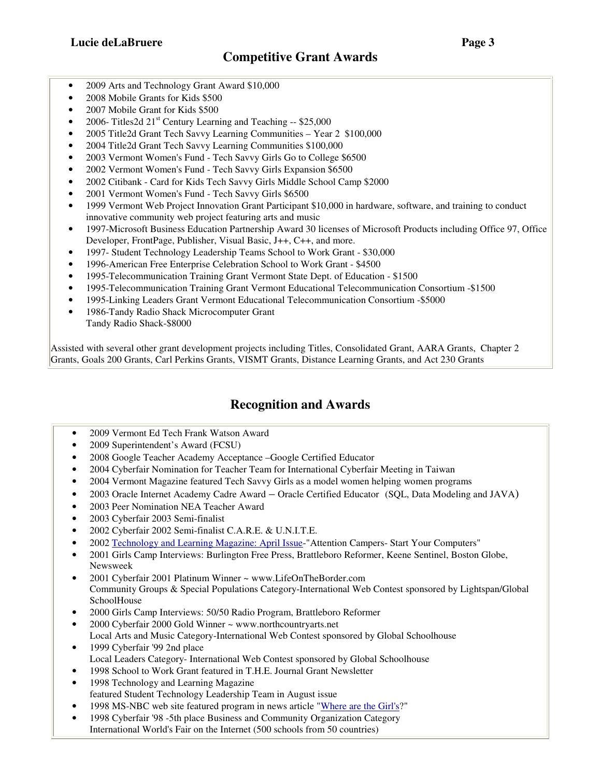- 2009 Arts and Technology Grant Award \$10,000
- 2008 Mobile Grants for Kids \$500
- 2007 Mobile Grant for Kids \$500
- 2006- Titles 2d  $21<sup>st</sup>$  Century Learning and Teaching  $-$  \$25,000
- 2005 Title2d Grant Tech Savvy Learning Communities Year 2 \$100,000
- 2004 Title2d Grant Tech Savvy Learning Communities \$100,000
- 2003 Vermont Women's Fund Tech Savvy Girls Go to College \$6500
- 2002 Vermont Women's Fund Tech Savvy Girls Expansion \$6500
- 2002 Citibank Card for Kids Tech Savvy Girls Middle School Camp \$2000
- 2001 Vermont Women's Fund Tech Savvy Girls \$6500
- 1999 Vermont Web Project Innovation Grant Participant \$10,000 in hardware, software, and training to conduct innovative community web project featuring arts and music
- 1997-Microsoft Business Education Partnership Award 30 licenses of Microsoft Products including Office 97, Office Developer, FrontPage, Publisher, Visual Basic, J++, C++, and more.
- 1997- Student Technology Leadership Teams School to Work Grant \$30,000
- 1996-American Free Enterprise Celebration School to Work Grant \$4500
- 1995-Telecommunication Training Grant Vermont State Dept. of Education \$1500
- 1995-Telecommunication Training Grant Vermont Educational Telecommunication Consortium -\$1500
- 1995-Linking Leaders Grant Vermont Educational Telecommunication Consortium -\$5000
- 1986-Tandy Radio Shack Microcomputer Grant Tandy Radio Shack-\$8000

Assisted with several other grant development projects including Titles, Consolidated Grant, AARA Grants, Chapter 2 Grants, Goals 200 Grants, Carl Perkins Grants, VISMT Grants, Distance Learning Grants, and Act 230 Grants

### **Recognition and Awards**

- 2009 Vermont Ed Tech Frank Watson Award
- 2009 Superintendent's Award (FCSU)
- 2008 Google Teacher Academy Acceptance –Google Certified Educator
- 2004 Cyberfair Nomination for Teacher Team for International Cyberfair Meeting in Taiwan
- 2004 Vermont Magazine featured Tech Savvy Girls as a model women helping women programs
- 2003 Oracle Internet Academy Cadre Award Oracle Certified Educator (SQL, Data Modeling and JAVA)
- 2003 Peer Nomination NEA Teacher Award
- 2003 Cyberfair 2003 Semi-finalist
- 2002 Cyberfair 2002 Semi-finalist C.A.R.E. & U.N.I.T.E.
- 2002 Technology and Learning Magazine: April Issue-"Attention Campers- Start Your Computers"
- 2001 Girls Camp Interviews: Burlington Free Press, Brattleboro Reformer, Keene Sentinel, Boston Globe, Newsweek
- 2001 Cyberfair 2001 Platinum Winner ~ www.LifeOnTheBorder.com Community Groups & Special Populations Category-International Web Contest sponsored by Lightspan/Global SchoolHouse
- 2000 Girls Camp Interviews: 50/50 Radio Program, Brattleboro Reformer
- 2000 Cyberfair 2000 Gold Winner ~ www.northcountryarts.net Local Arts and Music Category-International Web Contest sponsored by Global Schoolhouse
- 1999 Cyberfair '99 2nd place Local Leaders Category- International Web Contest sponsored by Global Schoolhouse
- 1998 School to Work Grant featured in T.H.E. Journal Grant Newsletter
- 1998 Technology and Learning Magazine featured Student Technology Leadership Team in August issue
- 1998 MS-NBC web site featured program in news article "Where are the Girl's?"
- 1998 Cyberfair '98 -5th place Business and Community Organization Category International World's Fair on the Internet (500 schools from 50 countries)